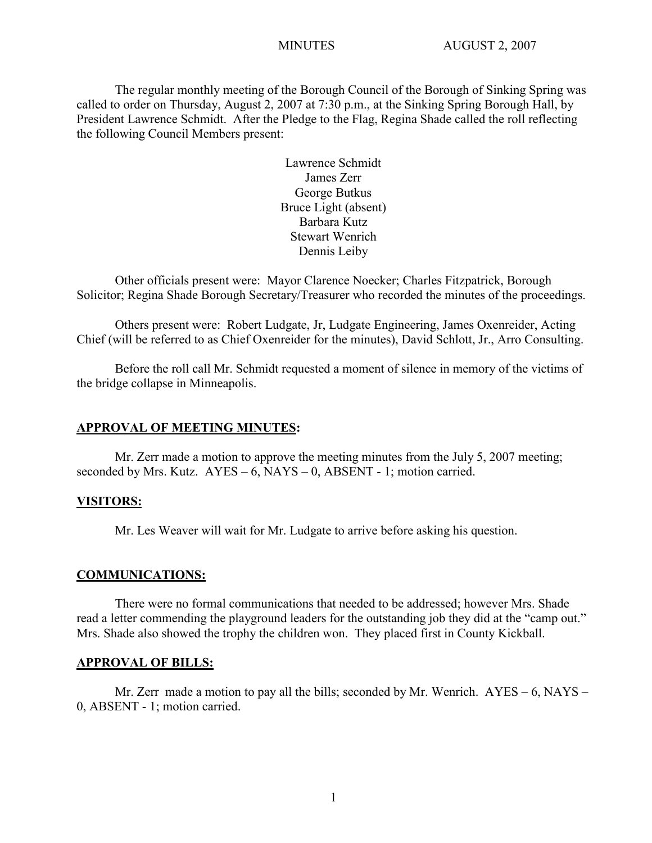The regular monthly meeting of the Borough Council of the Borough of Sinking Spring was called to order on Thursday, August 2, 2007 at 7:30 p.m., at the Sinking Spring Borough Hall, by President Lawrence Schmidt. After the Pledge to the Flag, Regina Shade called the roll reflecting the following Council Members present:

> Lawrence Schmidt James Zerr George Butkus Bruce Light (absent) Barbara Kutz Stewart Wenrich Dennis Leiby

Other officials present were: Mayor Clarence Noecker; Charles Fitzpatrick, Borough Solicitor; Regina Shade Borough Secretary/Treasurer who recorded the minutes of the proceedings.

Others present were: Robert Ludgate, Jr, Ludgate Engineering, James Oxenreider, Acting Chief (will be referred to as Chief Oxenreider for the minutes), David Schlott, Jr., Arro Consulting.

Before the roll call Mr. Schmidt requested a moment of silence in memory of the victims of the bridge collapse in Minneapolis.

#### **APPROVAL OF MEETING MINUTES:**

Mr. Zerr made a motion to approve the meeting minutes from the July 5, 2007 meeting; seconded by Mrs. Kutz.  $AYES - 6$ , NAYS – 0, ABSENT - 1; motion carried.

#### **VISITORS:**

Mr. Les Weaver will wait for Mr. Ludgate to arrive before asking his question.

## **COMMUNICATIONS:**

There were no formal communications that needed to be addressed; however Mrs. Shade read a letter commending the playground leaders for the outstanding job they did at the "camp out." Mrs. Shade also showed the trophy the children won. They placed first in County Kickball.

#### **APPROVAL OF BILLS:**

Mr. Zerr made a motion to pay all the bills; seconded by Mr. Wenrich. AYES – 6, NAYS – 0, ABSENT - 1; motion carried.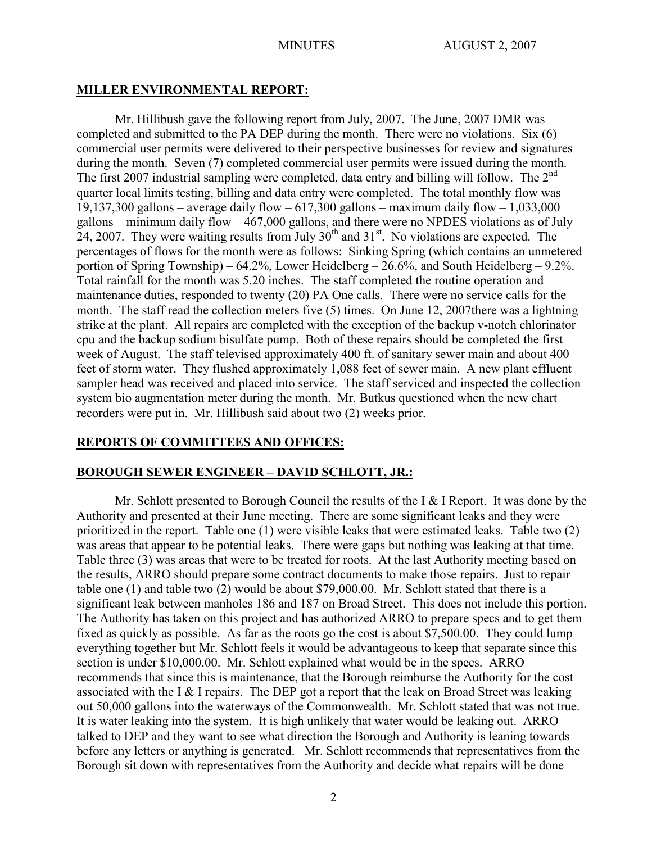## **MILLER ENVIRONMENTAL REPORT:**

Mr. Hillibush gave the following report from July, 2007. The June, 2007 DMR was completed and submitted to the PA DEP during the month. There were no violations. Six (6) commercial user permits were delivered to their perspective businesses for review and signatures during the month. Seven (7) completed commercial user permits were issued during the month. The first 2007 industrial sampling were completed, data entry and billing will follow. The  $2^{nd}$ quarter local limits testing, billing and data entry were completed. The total monthly flow was 19,137,300 gallons – average daily flow –  $617,300$  gallons – maximum daily flow – 1,033,000 gallons – minimum daily flow – 467,000 gallons, and there were no NPDES violations as of July 24, 2007. They were waiting results from July  $30<sup>th</sup>$  and  $31<sup>st</sup>$ . No violations are expected. The percentages of flows for the month were as follows: Sinking Spring (which contains an unmetered portion of Spring Township) – 64.2%, Lower Heidelberg – 26.6%, and South Heidelberg – 9.2%. Total rainfall for the month was 5.20 inches. The staff completed the routine operation and maintenance duties, responded to twenty (20) PA One calls. There were no service calls for the month. The staff read the collection meters five (5) times. On June 12, 2007there was a lightning strike at the plant. All repairs are completed with the exception of the backup v-notch chlorinator cpu and the backup sodium bisulfate pump. Both of these repairs should be completed the first week of August. The staff televised approximately 400 ft. of sanitary sewer main and about 400 feet of storm water. They flushed approximately 1,088 feet of sewer main. A new plant effluent sampler head was received and placed into service. The staff serviced and inspected the collection system bio augmentation meter during the month. Mr. Butkus questioned when the new chart recorders were put in. Mr. Hillibush said about two (2) weeks prior.

# **REPORTS OF COMMITTEES AND OFFICES:**

# **BOROUGH SEWER ENGINEER – DAVID SCHLOTT, JR.:**

Mr. Schlott presented to Borough Council the results of the I & I Report. It was done by the Authority and presented at their June meeting. There are some significant leaks and they were prioritized in the report. Table one (1) were visible leaks that were estimated leaks. Table two (2) was areas that appear to be potential leaks. There were gaps but nothing was leaking at that time. Table three (3) was areas that were to be treated for roots. At the last Authority meeting based on the results, ARRO should prepare some contract documents to make those repairs. Just to repair table one (1) and table two (2) would be about \$79,000.00. Mr. Schlott stated that there is a significant leak between manholes 186 and 187 on Broad Street. This does not include this portion. The Authority has taken on this project and has authorized ARRO to prepare specs and to get them fixed as quickly as possible. As far as the roots go the cost is about \$7,500.00. They could lump everything together but Mr. Schlott feels it would be advantageous to keep that separate since this section is under \$10,000.00. Mr. Schlott explained what would be in the specs. ARRO recommends that since this is maintenance, that the Borough reimburse the Authority for the cost associated with the I & I repairs. The DEP got a report that the leak on Broad Street was leaking out 50,000 gallons into the waterways of the Commonwealth. Mr. Schlott stated that was not true. It is water leaking into the system. It is high unlikely that water would be leaking out. ARRO talked to DEP and they want to see what direction the Borough and Authority is leaning towards before any letters or anything is generated. Mr. Schlott recommends that representatives from the Borough sit down with representatives from the Authority and decide what repairs will be done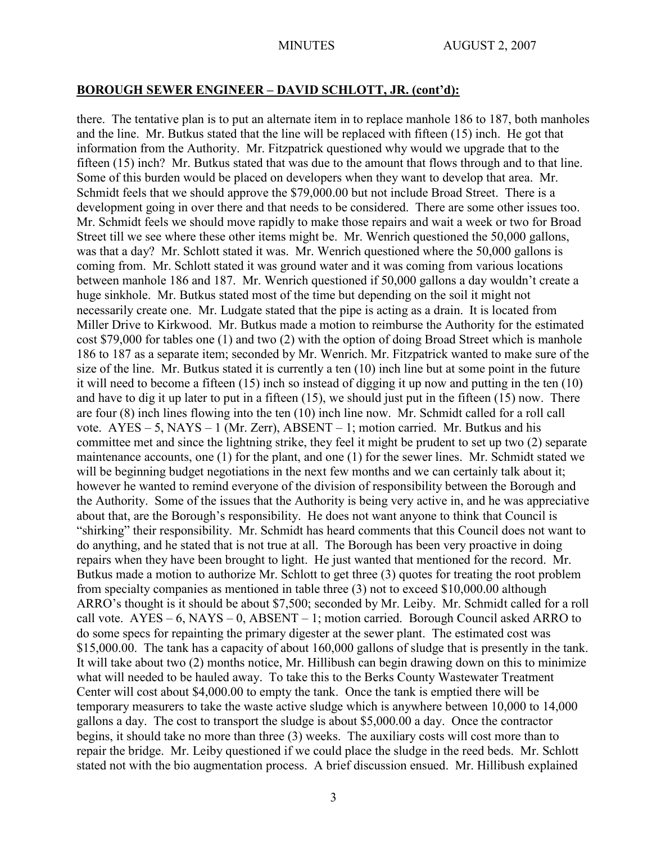#### **BOROUGH SEWER ENGINEER – DAVID SCHLOTT, JR. (cont'd):**

there. The tentative plan is to put an alternate item in to replace manhole 186 to 187, both manholes and the line. Mr. Butkus stated that the line will be replaced with fifteen (15) inch. He got that information from the Authority. Mr. Fitzpatrick questioned why would we upgrade that to the fifteen (15) inch? Mr. Butkus stated that was due to the amount that flows through and to that line. Some of this burden would be placed on developers when they want to develop that area. Mr. Schmidt feels that we should approve the \$79,000.00 but not include Broad Street. There is a development going in over there and that needs to be considered. There are some other issues too. Mr. Schmidt feels we should move rapidly to make those repairs and wait a week or two for Broad Street till we see where these other items might be. Mr. Wenrich questioned the 50,000 gallons, was that a day? Mr. Schlott stated it was. Mr. Wenrich questioned where the 50,000 gallons is coming from. Mr. Schlott stated it was ground water and it was coming from various locations between manhole 186 and 187. Mr. Wenrich questioned if 50,000 gallons a day wouldn't create a huge sinkhole. Mr. Butkus stated most of the time but depending on the soil it might not necessarily create one. Mr. Ludgate stated that the pipe is acting as a drain. It is located from Miller Drive to Kirkwood. Mr. Butkus made a motion to reimburse the Authority for the estimated cost \$79,000 for tables one (1) and two (2) with the option of doing Broad Street which is manhole 186 to 187 as a separate item; seconded by Mr. Wenrich. Mr. Fitzpatrick wanted to make sure of the size of the line. Mr. Butkus stated it is currently a ten (10) inch line but at some point in the future it will need to become a fifteen (15) inch so instead of digging it up now and putting in the ten (10) and have to dig it up later to put in a fifteen (15), we should just put in the fifteen (15) now. There are four (8) inch lines flowing into the ten (10) inch line now. Mr. Schmidt called for a roll call vote.  $AYES - 5$ ,  $NAYS - 1$  (Mr. Zerr),  $ABSENT - 1$ ; motion carried. Mr. Butkus and his committee met and since the lightning strike, they feel it might be prudent to set up two (2) separate maintenance accounts, one (1) for the plant, and one (1) for the sewer lines. Mr. Schmidt stated we will be beginning budget negotiations in the next few months and we can certainly talk about it; however he wanted to remind everyone of the division of responsibility between the Borough and the Authority. Some of the issues that the Authority is being very active in, and he was appreciative about that, are the Borough's responsibility. He does not want anyone to think that Council is "shirking" their responsibility. Mr. Schmidt has heard comments that this Council does not want to do anything, and he stated that is not true at all. The Borough has been very proactive in doing repairs when they have been brought to light. He just wanted that mentioned for the record. Mr. Butkus made a motion to authorize Mr. Schlott to get three (3) quotes for treating the root problem from specialty companies as mentioned in table three (3) not to exceed \$10,000.00 although ARRO's thought is it should be about \$7,500; seconded by Mr. Leiby. Mr. Schmidt called for a roll call vote.  $AYES - 6$ ,  $NAYS - 0$ ,  $ABSENT - 1$ ; motion carried. Borough Council asked ARRO to do some specs for repainting the primary digester at the sewer plant. The estimated cost was \$15,000.00. The tank has a capacity of about 160,000 gallons of sludge that is presently in the tank. It will take about two (2) months notice, Mr. Hillibush can begin drawing down on this to minimize what will needed to be hauled away. To take this to the Berks County Wastewater Treatment Center will cost about \$4,000.00 to empty the tank. Once the tank is emptied there will be temporary measurers to take the waste active sludge which is anywhere between 10,000 to 14,000 gallons a day. The cost to transport the sludge is about \$5,000.00 a day. Once the contractor begins, it should take no more than three (3) weeks. The auxiliary costs will cost more than to repair the bridge. Mr. Leiby questioned if we could place the sludge in the reed beds. Mr. Schlott stated not with the bio augmentation process. A brief discussion ensued. Mr. Hillibush explained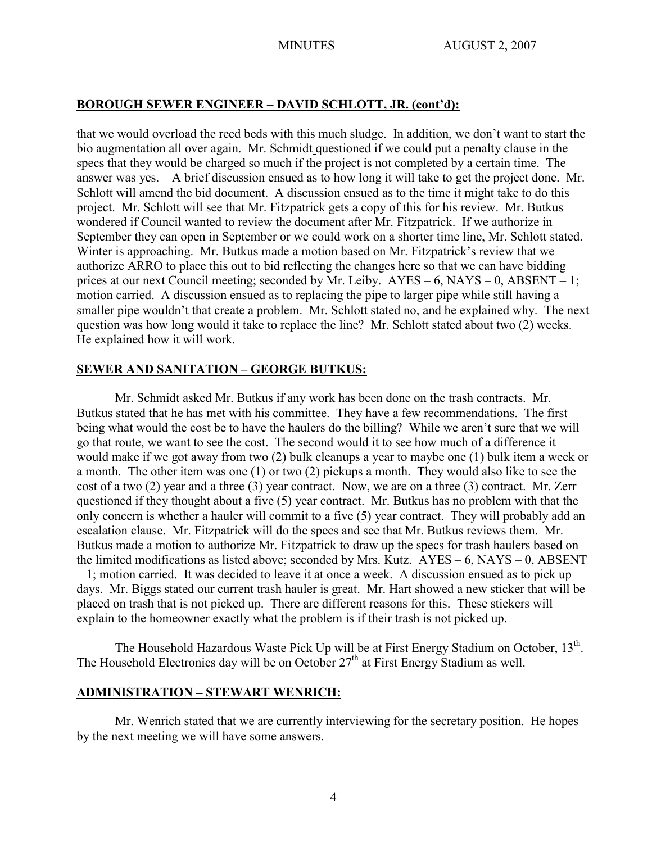## **BOROUGH SEWER ENGINEER – DAVID SCHLOTT, JR. (cont'd):**

that we would overload the reed beds with this much sludge. In addition, we don't want to start the bio augmentation all over again. Mr. Schmidt questioned if we could put a penalty clause in the specs that they would be charged so much if the project is not completed by a certain time. The answer was yes. A brief discussion ensued as to how long it will take to get the project done. Mr. Schlott will amend the bid document. A discussion ensued as to the time it might take to do this project. Mr. Schlott will see that Mr. Fitzpatrick gets a copy of this for his review. Mr. Butkus wondered if Council wanted to review the document after Mr. Fitzpatrick. If we authorize in September they can open in September or we could work on a shorter time line, Mr. Schlott stated. Winter is approaching. Mr. Butkus made a motion based on Mr. Fitzpatrick's review that we authorize ARRO to place this out to bid reflecting the changes here so that we can have bidding prices at our next Council meeting; seconded by Mr. Leiby. AYES – 6, NAYS – 0, ABSENT – 1; motion carried. A discussion ensued as to replacing the pipe to larger pipe while still having a smaller pipe wouldn't that create a problem. Mr. Schlott stated no, and he explained why. The next question was how long would it take to replace the line? Mr. Schlott stated about two (2) weeks. He explained how it will work.

## **SEWER AND SANITATION – GEORGE BUTKUS:**

Mr. Schmidt asked Mr. Butkus if any work has been done on the trash contracts. Mr. Butkus stated that he has met with his committee. They have a few recommendations. The first being what would the cost be to have the haulers do the billing? While we aren't sure that we will go that route, we want to see the cost. The second would it to see how much of a difference it would make if we got away from two (2) bulk cleanups a year to maybe one (1) bulk item a week or a month. The other item was one (1) or two (2) pickups a month. They would also like to see the cost of a two (2) year and a three (3) year contract. Now, we are on a three (3) contract. Mr. Zerr questioned if they thought about a five (5) year contract. Mr. Butkus has no problem with that the only concern is whether a hauler will commit to a five (5) year contract. They will probably add an escalation clause. Mr. Fitzpatrick will do the specs and see that Mr. Butkus reviews them. Mr. Butkus made a motion to authorize Mr. Fitzpatrick to draw up the specs for trash haulers based on the limited modifications as listed above; seconded by Mrs. Kutz.  $AYES - 6$ , NAYS – 0, ABSENT – 1; motion carried. It was decided to leave it at once a week. A discussion ensued as to pick up days. Mr. Biggs stated our current trash hauler is great. Mr. Hart showed a new sticker that will be placed on trash that is not picked up. There are different reasons for this. These stickers will explain to the homeowner exactly what the problem is if their trash is not picked up.

The Household Hazardous Waste Pick Up will be at First Energy Stadium on October,  $13<sup>th</sup>$ . The Household Electronics day will be on October 27<sup>th</sup> at First Energy Stadium as well.

## **ADMINISTRATION – STEWART WENRICH:**

Mr. Wenrich stated that we are currently interviewing for the secretary position. He hopes by the next meeting we will have some answers.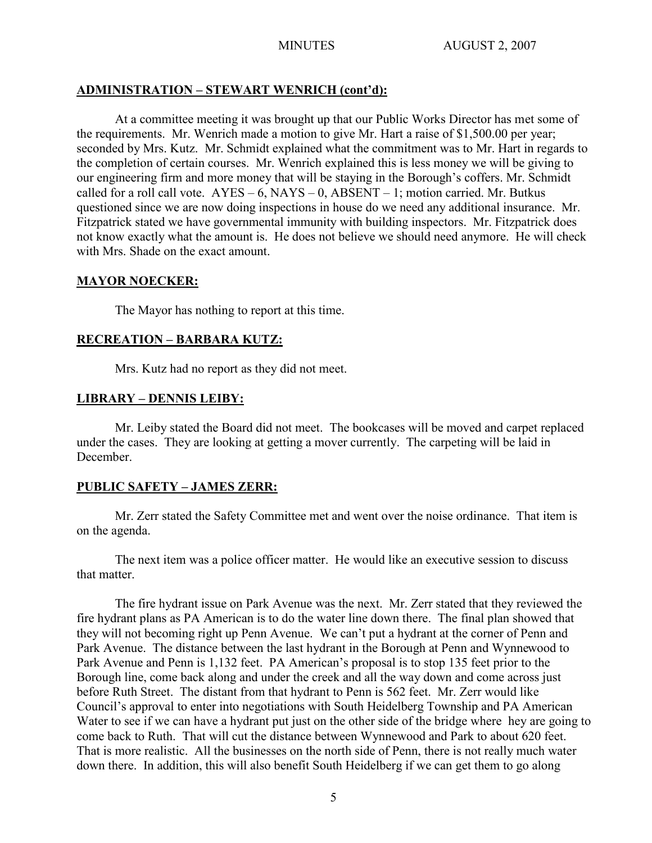# **ADMINISTRATION – STEWART WENRICH (cont'd):**

At a committee meeting it was brought up that our Public Works Director has met some of the requirements. Mr. Wenrich made a motion to give Mr. Hart a raise of \$1,500.00 per year; seconded by Mrs. Kutz. Mr. Schmidt explained what the commitment was to Mr. Hart in regards to the completion of certain courses. Mr. Wenrich explained this is less money we will be giving to our engineering firm and more money that will be staying in the Borough's coffers. Mr. Schmidt called for a roll call vote.  $AYES - 6$ ,  $NAYS - 0$ ,  $ABSENT - 1$ ; motion carried. Mr. Butkus questioned since we are now doing inspections in house do we need any additional insurance. Mr. Fitzpatrick stated we have governmental immunity with building inspectors. Mr. Fitzpatrick does not know exactly what the amount is. He does not believe we should need anymore. He will check with Mrs. Shade on the exact amount.

## **MAYOR NOECKER:**

The Mayor has nothing to report at this time.

## **RECREATION – BARBARA KUTZ:**

Mrs. Kutz had no report as they did not meet.

# **LIBRARY – DENNIS LEIBY:**

Mr. Leiby stated the Board did not meet. The bookcases will be moved and carpet replaced under the cases. They are looking at getting a mover currently. The carpeting will be laid in December.

## **PUBLIC SAFETY – JAMES ZERR:**

Mr. Zerr stated the Safety Committee met and went over the noise ordinance. That item is on the agenda.

The next item was a police officer matter. He would like an executive session to discuss that matter.

The fire hydrant issue on Park Avenue was the next. Mr. Zerr stated that they reviewed the fire hydrant plans as PA American is to do the water line down there. The final plan showed that they will not becoming right up Penn Avenue. We can't put a hydrant at the corner of Penn and Park Avenue. The distance between the last hydrant in the Borough at Penn and Wynnewood to Park Avenue and Penn is 1,132 feet. PA American's proposal is to stop 135 feet prior to the Borough line, come back along and under the creek and all the way down and come across just before Ruth Street. The distant from that hydrant to Penn is 562 feet. Mr. Zerr would like Council's approval to enter into negotiations with South Heidelberg Township and PA American Water to see if we can have a hydrant put just on the other side of the bridge where hey are going to come back to Ruth. That will cut the distance between Wynnewood and Park to about 620 feet. That is more realistic. All the businesses on the north side of Penn, there is not really much water down there. In addition, this will also benefit South Heidelberg if we can get them to go along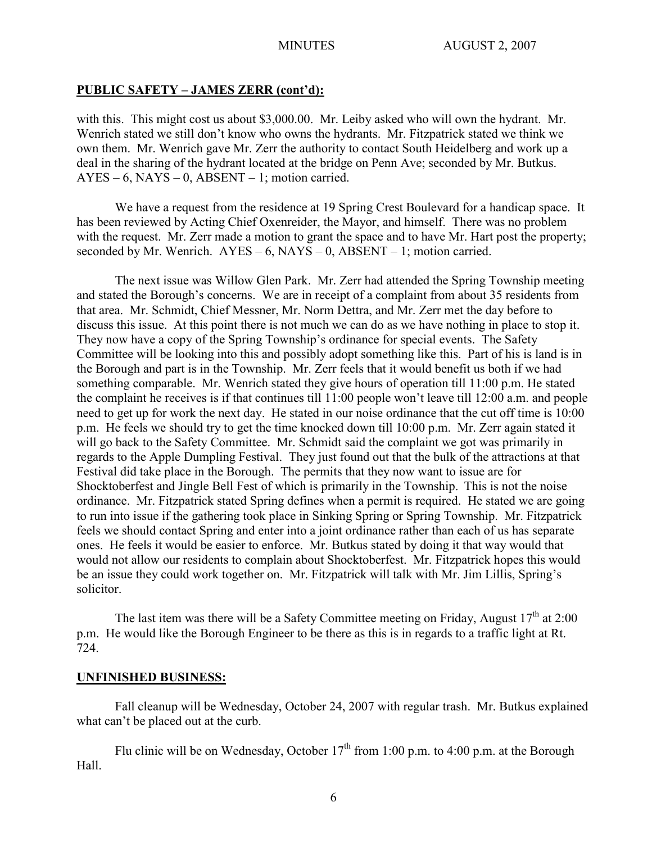# **PUBLIC SAFETY – JAMES ZERR (cont'd):**

with this. This might cost us about \$3,000.00. Mr. Leiby asked who will own the hydrant. Mr. Wenrich stated we still don't know who owns the hydrants. Mr. Fitzpatrick stated we think we own them. Mr. Wenrich gave Mr. Zerr the authority to contact South Heidelberg and work up a deal in the sharing of the hydrant located at the bridge on Penn Ave; seconded by Mr. Butkus.  $AYES - 6$ ,  $NAYS - 0$ ,  $ABSENT - 1$ ; motion carried.

We have a request from the residence at 19 Spring Crest Boulevard for a handicap space. It has been reviewed by Acting Chief Oxenreider, the Mayor, and himself. There was no problem with the request. Mr. Zerr made a motion to grant the space and to have Mr. Hart post the property; seconded by Mr. Wenrich.  $AYES - 6$ ,  $NAYS - 0$ ,  $ABSENT - 1$ ; motion carried.

The next issue was Willow Glen Park. Mr. Zerr had attended the Spring Township meeting and stated the Borough's concerns. We are in receipt of a complaint from about 35 residents from that area. Mr. Schmidt, Chief Messner, Mr. Norm Dettra, and Mr. Zerr met the day before to discuss this issue. At this point there is not much we can do as we have nothing in place to stop it. They now have a copy of the Spring Township's ordinance for special events. The Safety Committee will be looking into this and possibly adopt something like this. Part of his is land is in the Borough and part is in the Township. Mr. Zerr feels that it would benefit us both if we had something comparable. Mr. Wenrich stated they give hours of operation till 11:00 p.m. He stated the complaint he receives is if that continues till 11:00 people won't leave till 12:00 a.m. and people need to get up for work the next day. He stated in our noise ordinance that the cut off time is 10:00 p.m. He feels we should try to get the time knocked down till 10:00 p.m. Mr. Zerr again stated it will go back to the Safety Committee. Mr. Schmidt said the complaint we got was primarily in regards to the Apple Dumpling Festival. They just found out that the bulk of the attractions at that Festival did take place in the Borough. The permits that they now want to issue are for Shocktoberfest and Jingle Bell Fest of which is primarily in the Township. This is not the noise ordinance. Mr. Fitzpatrick stated Spring defines when a permit is required. He stated we are going to run into issue if the gathering took place in Sinking Spring or Spring Township. Mr. Fitzpatrick feels we should contact Spring and enter into a joint ordinance rather than each of us has separate ones. He feels it would be easier to enforce. Mr. Butkus stated by doing it that way would that would not allow our residents to complain about Shocktoberfest. Mr. Fitzpatrick hopes this would be an issue they could work together on. Mr. Fitzpatrick will talk with Mr. Jim Lillis, Spring's solicitor.

The last item was there will be a Safety Committee meeting on Friday, August  $17<sup>th</sup>$  at 2:00 p.m. He would like the Borough Engineer to be there as this is in regards to a traffic light at Rt. 724.

## **UNFINISHED BUSINESS:**

Fall cleanup will be Wednesday, October 24, 2007 with regular trash. Mr. Butkus explained what can't be placed out at the curb.

Flu clinic will be on Wednesday, October  $17<sup>th</sup>$  from 1:00 p.m. to 4:00 p.m. at the Borough Hall.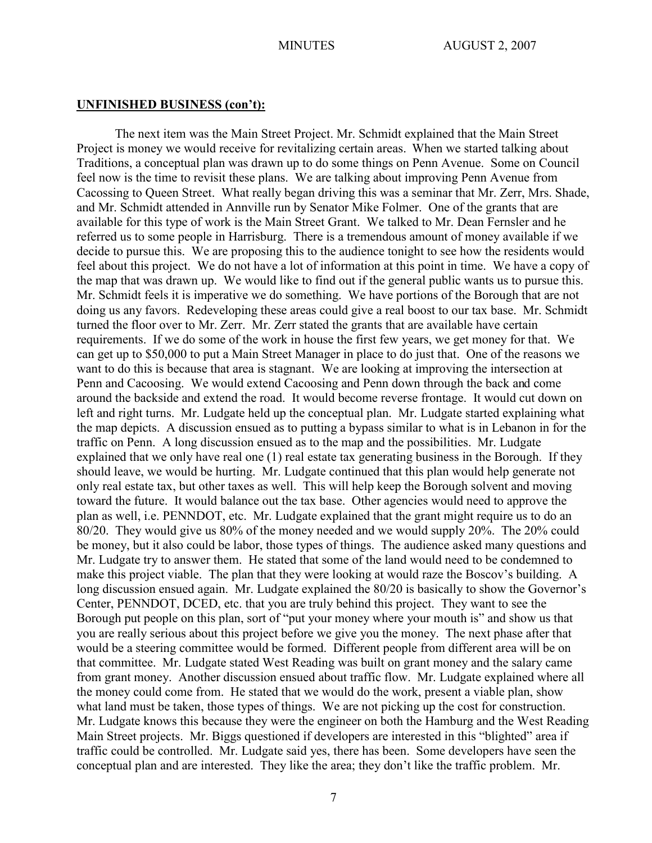The next item was the Main Street Project. Mr. Schmidt explained that the Main Street Project is money we would receive for revitalizing certain areas. When we started talking about Traditions, a conceptual plan was drawn up to do some things on Penn Avenue. Some on Council feel now is the time to revisit these plans. We are talking about improving Penn Avenue from Cacossing to Queen Street. What really began driving this was a seminar that Mr. Zerr, Mrs. Shade, and Mr. Schmidt attended in Annville run by Senator Mike Folmer. One of the grants that are available for this type of work is the Main Street Grant. We talked to Mr. Dean Fernsler and he referred us to some people in Harrisburg. There is a tremendous amount of money available if we decide to pursue this. We are proposing this to the audience tonight to see how the residents would feel about this project. We do not have a lot of information at this point in time. We have a copy of the map that was drawn up. We would like to find out if the general public wants us to pursue this. Mr. Schmidt feels it is imperative we do something. We have portions of the Borough that are not doing us any favors. Redeveloping these areas could give a real boost to our tax base. Mr. Schmidt turned the floor over to Mr. Zerr. Mr. Zerr stated the grants that are available have certain requirements. If we do some of the work in house the first few years, we get money for that. We can get up to \$50,000 to put a Main Street Manager in place to do just that. One of the reasons we want to do this is because that area is stagnant. We are looking at improving the intersection at Penn and Cacoosing. We would extend Cacoosing and Penn down through the back and come around the backside and extend the road. It would become reverse frontage. It would cut down on left and right turns. Mr. Ludgate held up the conceptual plan. Mr. Ludgate started explaining what the map depicts. A discussion ensued as to putting a bypass similar to what is in Lebanon in for the traffic on Penn. A long discussion ensued as to the map and the possibilities. Mr. Ludgate explained that we only have real one (1) real estate tax generating business in the Borough. If they should leave, we would be hurting. Mr. Ludgate continued that this plan would help generate not only real estate tax, but other taxes as well. This will help keep the Borough solvent and moving toward the future. It would balance out the tax base. Other agencies would need to approve the plan as well, i.e. PENNDOT, etc. Mr. Ludgate explained that the grant might require us to do an 80/20. They would give us 80% of the money needed and we would supply 20%. The 20% could be money, but it also could be labor, those types of things. The audience asked many questions and Mr. Ludgate try to answer them. He stated that some of the land would need to be condemned to make this project viable. The plan that they were looking at would raze the Boscov's building. A long discussion ensued again. Mr. Ludgate explained the 80/20 is basically to show the Governor's Center, PENNDOT, DCED, etc. that you are truly behind this project. They want to see the Borough put people on this plan, sort of "put your money where your mouth is" and show us that you are really serious about this project before we give you the money. The next phase after that would be a steering committee would be formed. Different people from different area will be on that committee. Mr. Ludgate stated West Reading was built on grant money and the salary came from grant money. Another discussion ensued about traffic flow. Mr. Ludgate explained where all the money could come from. He stated that we would do the work, present a viable plan, show what land must be taken, those types of things. We are not picking up the cost for construction. Mr. Ludgate knows this because they were the engineer on both the Hamburg and the West Reading Main Street projects. Mr. Biggs questioned if developers are interested in this "blighted" area if traffic could be controlled. Mr. Ludgate said yes, there has been. Some developers have seen the conceptual plan and are interested. They like the area; they don't like the traffic problem. Mr.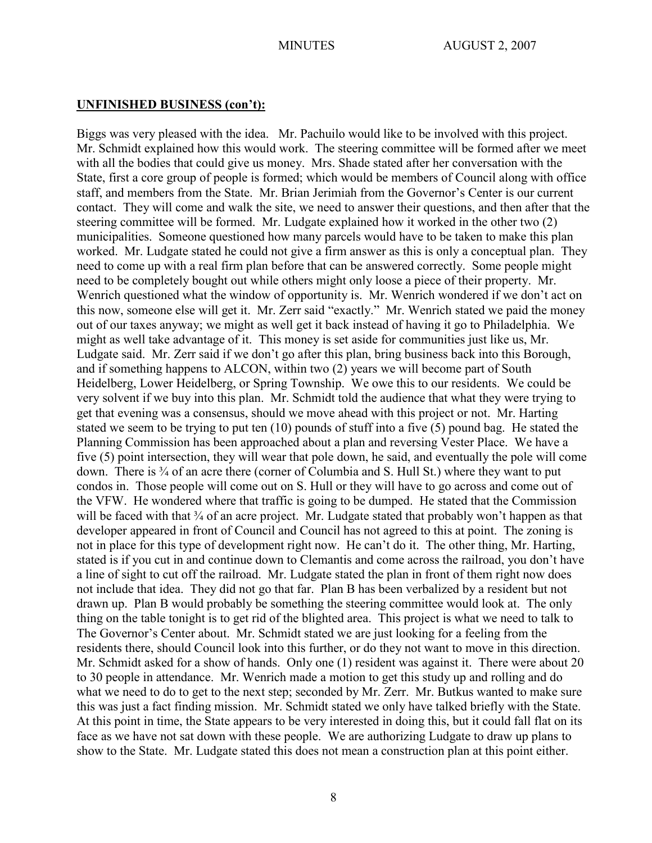Biggs was very pleased with the idea. Mr. Pachuilo would like to be involved with this project. Mr. Schmidt explained how this would work. The steering committee will be formed after we meet with all the bodies that could give us money. Mrs. Shade stated after her conversation with the State, first a core group of people is formed; which would be members of Council along with office staff, and members from the State. Mr. Brian Jerimiah from the Governor's Center is our current contact. They will come and walk the site, we need to answer their questions, and then after that the steering committee will be formed. Mr. Ludgate explained how it worked in the other two (2) municipalities. Someone questioned how many parcels would have to be taken to make this plan worked. Mr. Ludgate stated he could not give a firm answer as this is only a conceptual plan. They need to come up with a real firm plan before that can be answered correctly. Some people might need to be completely bought out while others might only loose a piece of their property. Mr. Wenrich questioned what the window of opportunity is. Mr. Wenrich wondered if we don't act on this now, someone else will get it. Mr. Zerr said "exactly." Mr. Wenrich stated we paid the money out of our taxes anyway; we might as well get it back instead of having it go to Philadelphia. We might as well take advantage of it. This money is set aside for communities just like us, Mr. Ludgate said. Mr. Zerr said if we don't go after this plan, bring business back into this Borough, and if something happens to ALCON, within two (2) years we will become part of South Heidelberg, Lower Heidelberg, or Spring Township. We owe this to our residents. We could be very solvent if we buy into this plan. Mr. Schmidt told the audience that what they were trying to get that evening was a consensus, should we move ahead with this project or not. Mr. Harting stated we seem to be trying to put ten (10) pounds of stuff into a five (5) pound bag. He stated the Planning Commission has been approached about a plan and reversing Vester Place. We have a five (5) point intersection, they will wear that pole down, he said, and eventually the pole will come down. There is ¾ of an acre there (corner of Columbia and S. Hull St.) where they want to put condos in. Those people will come out on S. Hull or they will have to go across and come out of the VFW. He wondered where that traffic is going to be dumped. He stated that the Commission will be faced with that <sup>3</sup>/<sub>4</sub> of an acre project. Mr. Ludgate stated that probably won't happen as that developer appeared in front of Council and Council has not agreed to this at point. The zoning is not in place for this type of development right now. He can't do it. The other thing, Mr. Harting, stated is if you cut in and continue down to Clemantis and come across the railroad, you don't have a line of sight to cut off the railroad. Mr. Ludgate stated the plan in front of them right now does not include that idea. They did not go that far. Plan B has been verbalized by a resident but not drawn up. Plan B would probably be something the steering committee would look at. The only thing on the table tonight is to get rid of the blighted area. This project is what we need to talk to The Governor's Center about. Mr. Schmidt stated we are just looking for a feeling from the residents there, should Council look into this further, or do they not want to move in this direction. Mr. Schmidt asked for a show of hands. Only one (1) resident was against it. There were about 20 to 30 people in attendance. Mr. Wenrich made a motion to get this study up and rolling and do what we need to do to get to the next step; seconded by Mr. Zerr. Mr. Butkus wanted to make sure this was just a fact finding mission. Mr. Schmidt stated we only have talked briefly with the State. At this point in time, the State appears to be very interested in doing this, but it could fall flat on its face as we have not sat down with these people. We are authorizing Ludgate to draw up plans to show to the State. Mr. Ludgate stated this does not mean a construction plan at this point either.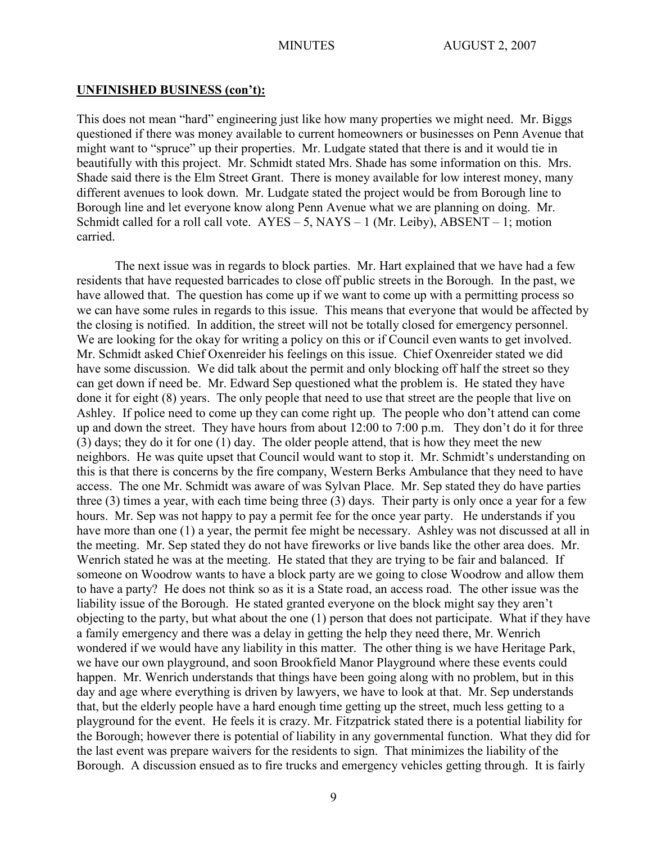This does not mean "hard" engineering just like how many properties we might need. Mr. Biggs questioned if there was money available to current homeowners or businesses on Penn Avenue that might want to "spruce" up their properties. Mr. Ludgate stated that there is and it would tie in beautifully with this project. Mr. Schmidt stated Mrs. Shade has some information on this. Mrs. Shade said there is the Elm Street Grant. There is money available for low interest money, many different avenues to look down. Mr. Ludgate stated the project would be from Borough line to Borough line and let everyone know along Penn Avenue what we are planning on doing. Mr. Schmidt called for a roll call vote.  $AYES - 5$ ,  $NAYS - 1$  (Mr. Leiby),  $ABSENT - 1$ ; motion carried.

The next issue was in regards to block parties. Mr. Hart explained that we have had a few residents that have requested barricades to close off public streets in the Borough. In the past, we have allowed that. The question has come up if we want to come up with a permitting process so we can have some rules in regards to this issue. This means that everyone that would be affected by the closing is notified. In addition, the street will not be totally closed for emergency personnel. We are looking for the okay for writing a policy on this or if Council even wants to get involved. Mr. Schmidt asked Chief Oxenreider his feelings on this issue. Chief Oxenreider stated we did have some discussion. We did talk about the permit and only blocking off half the street so they can get down if need be. Mr. Edward Sep questioned what the problem is. He stated they have done it for eight (8) years. The only people that need to use that street are the people that live on Ashley. If police need to come up they can come right up. The people who don't attend can come up and down the street. They have hours from about 12:00 to 7:00 p.m. They don't do it for three (3) days; they do it for one (1) day. The older people attend, that is how they meet the new neighbors. He was quite upset that Council would want to stop it. Mr. Schmidt's understanding on this is that there is concerns by the fire company, Western Berks Ambulance that they need to have access. The one Mr. Schmidt was aware of was Sylvan Place. Mr. Sep stated they do have parties three (3) times a year, with each time being three (3) days. Their party is only once a year for a few hours. Mr. Sep was not happy to pay a permit fee for the once year party. He understands if you have more than one (1) a year, the permit fee might be necessary. Ashley was not discussed at all in the meeting. Mr. Sep stated they do not have fireworks or live bands like the other area does. Mr. Wenrich stated he was at the meeting. He stated that they are trying to be fair and balanced. If someone on Woodrow wants to have a block party are we going to close Woodrow and allow them to have a party? He does not think so as it is a State road, an access road. The other issue was the liability issue of the Borough. He stated granted everyone on the block might say they aren't objecting to the party, but what about the one (1) person that does not participate. What if they have a family emergency and there was a delay in getting the help they need there, Mr. Wenrich wondered if we would have any liability in this matter. The other thing is we have Heritage Park, we have our own playground, and soon Brookfield Manor Playground where these events could happen. Mr. Wenrich understands that things have been going along with no problem, but in this day and age where everything is driven by lawyers, we have to look at that. Mr. Sep understands that, but the elderly people have a hard enough time getting up the street, much less getting to a playground for the event. He feels it is crazy. Mr. Fitzpatrick stated there is a potential liability for the Borough; however there is potential of liability in any governmental function. What they did for the last event was prepare waivers for the residents to sign. That minimizes the liability of the Borough. A discussion ensued as to fire trucks and emergency vehicles getting through. It is fairly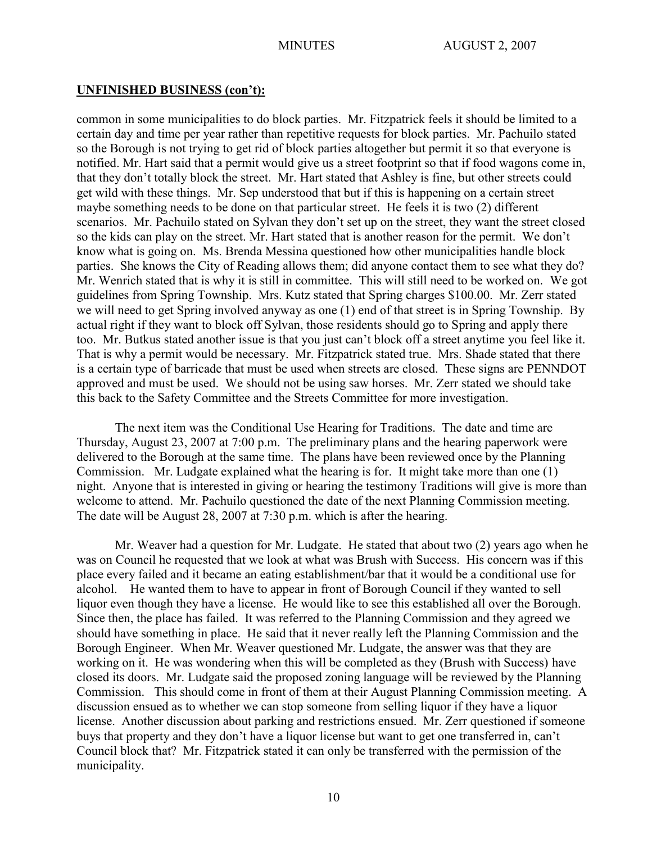common in some municipalities to do block parties. Mr. Fitzpatrick feels it should be limited to a certain day and time per year rather than repetitive requests for block parties. Mr. Pachuilo stated so the Borough is not trying to get rid of block parties altogether but permit it so that everyone is notified. Mr. Hart said that a permit would give us a street footprint so that if food wagons come in, that they don't totally block the street. Mr. Hart stated that Ashley is fine, but other streets could get wild with these things. Mr. Sep understood that but if this is happening on a certain street maybe something needs to be done on that particular street. He feels it is two (2) different scenarios. Mr. Pachuilo stated on Sylvan they don't set up on the street, they want the street closed so the kids can play on the street. Mr. Hart stated that is another reason for the permit. We don't know what is going on. Ms. Brenda Messina questioned how other municipalities handle block parties. She knows the City of Reading allows them; did anyone contact them to see what they do? Mr. Wenrich stated that is why it is still in committee. This will still need to be worked on. We got guidelines from Spring Township. Mrs. Kutz stated that Spring charges \$100.00. Mr. Zerr stated we will need to get Spring involved anyway as one (1) end of that street is in Spring Township. By actual right if they want to block off Sylvan, those residents should go to Spring and apply there too. Mr. Butkus stated another issue is that you just can't block off a street anytime you feel like it. That is why a permit would be necessary. Mr. Fitzpatrick stated true. Mrs. Shade stated that there is a certain type of barricade that must be used when streets are closed. These signs are PENNDOT approved and must be used. We should not be using saw horses. Mr. Zerr stated we should take this back to the Safety Committee and the Streets Committee for more investigation.

The next item was the Conditional Use Hearing for Traditions. The date and time are Thursday, August 23, 2007 at 7:00 p.m. The preliminary plans and the hearing paperwork were delivered to the Borough at the same time. The plans have been reviewed once by the Planning Commission. Mr. Ludgate explained what the hearing is for. It might take more than one (1) night. Anyone that is interested in giving or hearing the testimony Traditions will give is more than welcome to attend. Mr. Pachuilo questioned the date of the next Planning Commission meeting. The date will be August 28, 2007 at 7:30 p.m. which is after the hearing.

Mr. Weaver had a question for Mr. Ludgate. He stated that about two (2) years ago when he was on Council he requested that we look at what was Brush with Success. His concern was if this place every failed and it became an eating establishment/bar that it would be a conditional use for alcohol. He wanted them to have to appear in front of Borough Council if they wanted to sell liquor even though they have a license. He would like to see this established all over the Borough. Since then, the place has failed. It was referred to the Planning Commission and they agreed we should have something in place. He said that it never really left the Planning Commission and the Borough Engineer. When Mr. Weaver questioned Mr. Ludgate, the answer was that they are working on it. He was wondering when this will be completed as they (Brush with Success) have closed its doors. Mr. Ludgate said the proposed zoning language will be reviewed by the Planning Commission. This should come in front of them at their August Planning Commission meeting. A discussion ensued as to whether we can stop someone from selling liquor if they have a liquor license. Another discussion about parking and restrictions ensued. Mr. Zerr questioned if someone buys that property and they don't have a liquor license but want to get one transferred in, can't Council block that? Mr. Fitzpatrick stated it can only be transferred with the permission of the municipality.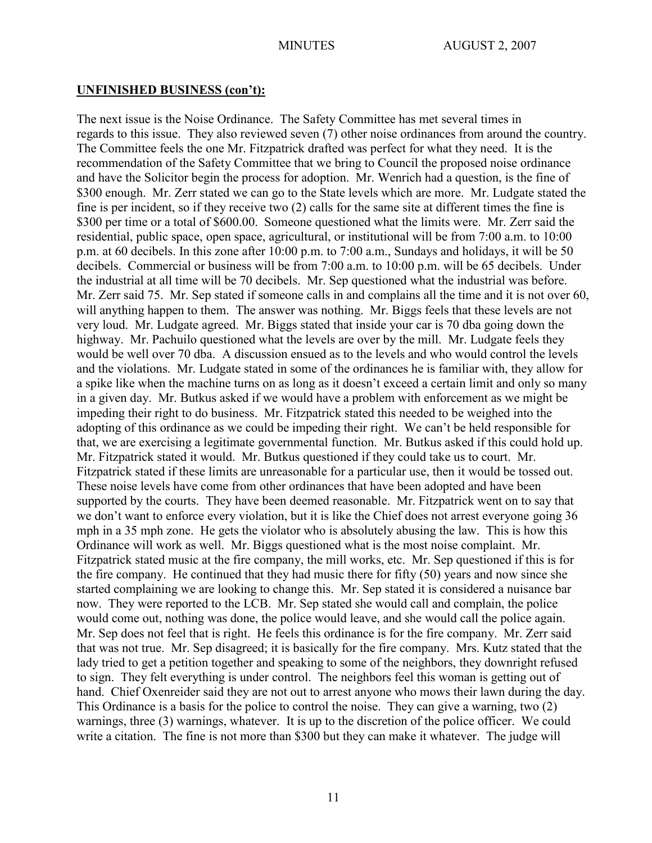The next issue is the Noise Ordinance. The Safety Committee has met several times in regards to this issue. They also reviewed seven (7) other noise ordinances from around the country. The Committee feels the one Mr. Fitzpatrick drafted was perfect for what they need. It is the recommendation of the Safety Committee that we bring to Council the proposed noise ordinance and have the Solicitor begin the process for adoption. Mr. Wenrich had a question, is the fine of \$300 enough. Mr. Zerr stated we can go to the State levels which are more. Mr. Ludgate stated the fine is per incident, so if they receive two (2) calls for the same site at different times the fine is \$300 per time or a total of \$600.00. Someone questioned what the limits were. Mr. Zerr said the residential, public space, open space, agricultural, or institutional will be from 7:00 a.m. to 10:00 p.m. at 60 decibels. In this zone after 10:00 p.m. to 7:00 a.m., Sundays and holidays, it will be 50 decibels. Commercial or business will be from 7:00 a.m. to 10:00 p.m. will be 65 decibels. Under the industrial at all time will be 70 decibels. Mr. Sep questioned what the industrial was before. Mr. Zerr said 75. Mr. Sep stated if someone calls in and complains all the time and it is not over 60, will anything happen to them. The answer was nothing. Mr. Biggs feels that these levels are not very loud. Mr. Ludgate agreed. Mr. Biggs stated that inside your car is 70 dba going down the highway. Mr. Pachuilo questioned what the levels are over by the mill. Mr. Ludgate feels they would be well over 70 dba. A discussion ensued as to the levels and who would control the levels and the violations. Mr. Ludgate stated in some of the ordinances he is familiar with, they allow for a spike like when the machine turns on as long as it doesn't exceed a certain limit and only so many in a given day. Mr. Butkus asked if we would have a problem with enforcement as we might be impeding their right to do business. Mr. Fitzpatrick stated this needed to be weighed into the adopting of this ordinance as we could be impeding their right. We can't be held responsible for that, we are exercising a legitimate governmental function. Mr. Butkus asked if this could hold up. Mr. Fitzpatrick stated it would. Mr. Butkus questioned if they could take us to court. Mr. Fitzpatrick stated if these limits are unreasonable for a particular use, then it would be tossed out. These noise levels have come from other ordinances that have been adopted and have been supported by the courts. They have been deemed reasonable. Mr. Fitzpatrick went on to say that we don't want to enforce every violation, but it is like the Chief does not arrest everyone going 36 mph in a 35 mph zone. He gets the violator who is absolutely abusing the law. This is how this Ordinance will work as well. Mr. Biggs questioned what is the most noise complaint. Mr. Fitzpatrick stated music at the fire company, the mill works, etc. Mr. Sep questioned if this is for the fire company. He continued that they had music there for fifty (50) years and now since she started complaining we are looking to change this. Mr. Sep stated it is considered a nuisance bar now. They were reported to the LCB. Mr. Sep stated she would call and complain, the police would come out, nothing was done, the police would leave, and she would call the police again. Mr. Sep does not feel that is right. He feels this ordinance is for the fire company. Mr. Zerr said that was not true. Mr. Sep disagreed; it is basically for the fire company. Mrs. Kutz stated that the lady tried to get a petition together and speaking to some of the neighbors, they downright refused to sign. They felt everything is under control. The neighbors feel this woman is getting out of hand. Chief Oxenreider said they are not out to arrest anyone who mows their lawn during the day. This Ordinance is a basis for the police to control the noise. They can give a warning, two (2) warnings, three (3) warnings, whatever. It is up to the discretion of the police officer. We could write a citation. The fine is not more than \$300 but they can make it whatever. The judge will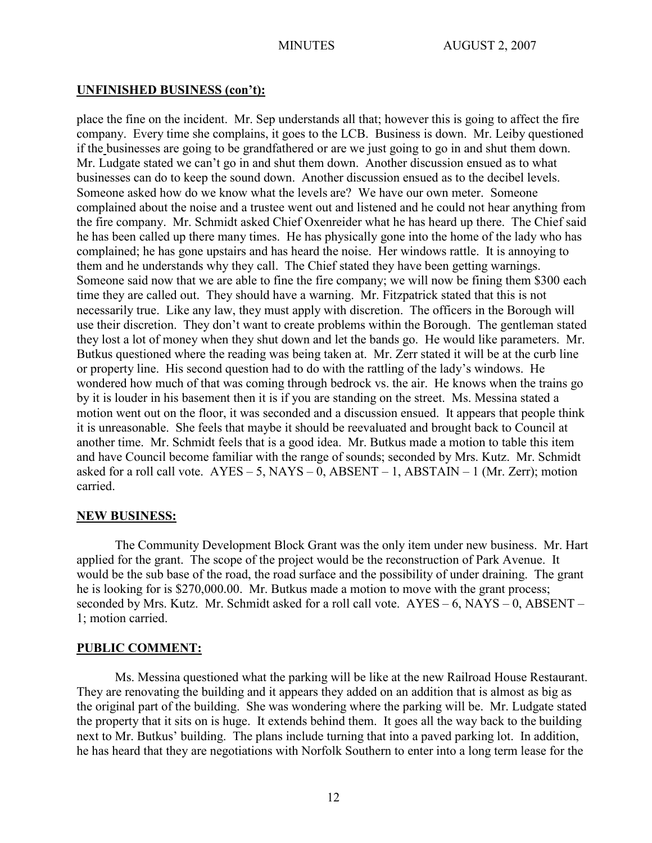place the fine on the incident. Mr. Sep understands all that; however this is going to affect the fire company. Every time she complains, it goes to the LCB. Business is down. Mr. Leiby questioned if the businesses are going to be grandfathered or are we just going to go in and shut them down. Mr. Ludgate stated we can't go in and shut them down. Another discussion ensued as to what businesses can do to keep the sound down. Another discussion ensued as to the decibel levels. Someone asked how do we know what the levels are? We have our own meter. Someone complained about the noise and a trustee went out and listened and he could not hear anything from the fire company. Mr. Schmidt asked Chief Oxenreider what he has heard up there. The Chief said he has been called up there many times. He has physically gone into the home of the lady who has complained; he has gone upstairs and has heard the noise. Her windows rattle. It is annoying to them and he understands why they call. The Chief stated they have been getting warnings. Someone said now that we are able to fine the fire company; we will now be fining them \$300 each time they are called out. They should have a warning. Mr. Fitzpatrick stated that this is not necessarily true. Like any law, they must apply with discretion. The officers in the Borough will use their discretion. They don't want to create problems within the Borough. The gentleman stated they lost a lot of money when they shut down and let the bands go. He would like parameters. Mr. Butkus questioned where the reading was being taken at. Mr. Zerr stated it will be at the curb line or property line. His second question had to do with the rattling of the lady's windows. He wondered how much of that was coming through bedrock vs. the air. He knows when the trains go by it is louder in his basement then it is if you are standing on the street. Ms. Messina stated a motion went out on the floor, it was seconded and a discussion ensued. It appears that people think it is unreasonable. She feels that maybe it should be reevaluated and brought back to Council at another time. Mr. Schmidt feels that is a good idea. Mr. Butkus made a motion to table this item and have Council become familiar with the range of sounds; seconded by Mrs. Kutz. Mr. Schmidt asked for a roll call vote.  $AYES - 5$ ,  $NAYS - 0$ ,  $ABSENT - 1$ ,  $ABSTAIN - 1$  (Mr. Zerr); motion carried.

## **NEW BUSINESS:**

The Community Development Block Grant was the only item under new business. Mr. Hart applied for the grant. The scope of the project would be the reconstruction of Park Avenue. It would be the sub base of the road, the road surface and the possibility of under draining. The grant he is looking for is \$270,000.00. Mr. Butkus made a motion to move with the grant process; seconded by Mrs. Kutz. Mr. Schmidt asked for a roll call vote. AYES – 6, NAYS – 0, ABSENT – 1; motion carried.

## **PUBLIC COMMENT:**

Ms. Messina questioned what the parking will be like at the new Railroad House Restaurant. They are renovating the building and it appears they added on an addition that is almost as big as the original part of the building. She was wondering where the parking will be. Mr. Ludgate stated the property that it sits on is huge. It extends behind them. It goes all the way back to the building next to Mr. Butkus' building. The plans include turning that into a paved parking lot. In addition, he has heard that they are negotiations with Norfolk Southern to enter into a long term lease for the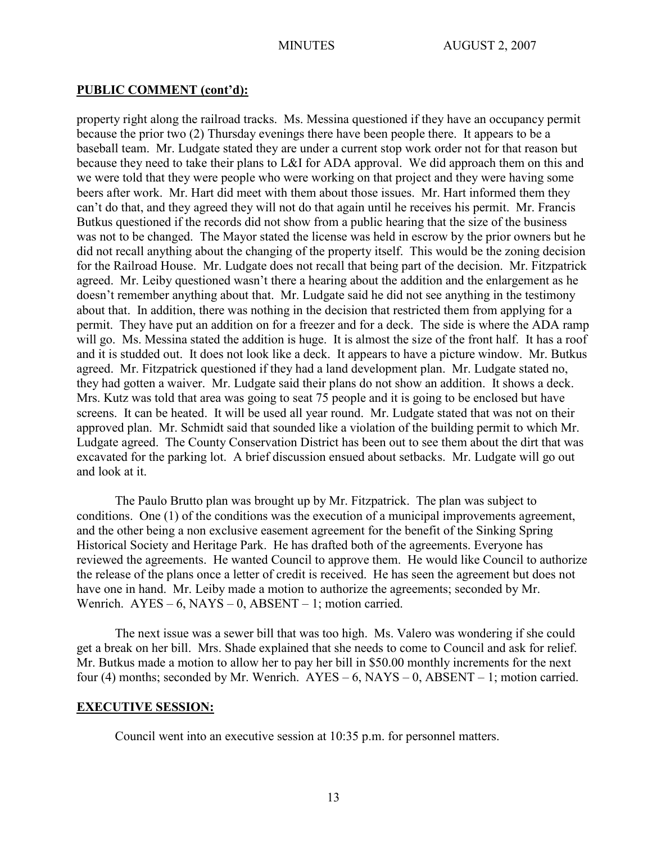## **PUBLIC COMMENT (cont'd):**

property right along the railroad tracks. Ms. Messina questioned if they have an occupancy permit because the prior two (2) Thursday evenings there have been people there. It appears to be a baseball team. Mr. Ludgate stated they are under a current stop work order not for that reason but because they need to take their plans to L&I for ADA approval. We did approach them on this and we were told that they were people who were working on that project and they were having some beers after work. Mr. Hart did meet with them about those issues. Mr. Hart informed them they can't do that, and they agreed they will not do that again until he receives his permit. Mr. Francis Butkus questioned if the records did not show from a public hearing that the size of the business was not to be changed. The Mayor stated the license was held in escrow by the prior owners but he did not recall anything about the changing of the property itself. This would be the zoning decision for the Railroad House. Mr. Ludgate does not recall that being part of the decision. Mr. Fitzpatrick agreed. Mr. Leiby questioned wasn't there a hearing about the addition and the enlargement as he doesn't remember anything about that. Mr. Ludgate said he did not see anything in the testimony about that. In addition, there was nothing in the decision that restricted them from applying for a permit. They have put an addition on for a freezer and for a deck. The side is where the ADA ramp will go. Ms. Messina stated the addition is huge. It is almost the size of the front half. It has a roof and it is studded out. It does not look like a deck. It appears to have a picture window. Mr. Butkus agreed. Mr. Fitzpatrick questioned if they had a land development plan. Mr. Ludgate stated no, they had gotten a waiver. Mr. Ludgate said their plans do not show an addition. It shows a deck. Mrs. Kutz was told that area was going to seat 75 people and it is going to be enclosed but have screens. It can be heated. It will be used all year round. Mr. Ludgate stated that was not on their approved plan. Mr. Schmidt said that sounded like a violation of the building permit to which Mr. Ludgate agreed. The County Conservation District has been out to see them about the dirt that was excavated for the parking lot. A brief discussion ensued about setbacks. Mr. Ludgate will go out and look at it.

The Paulo Brutto plan was brought up by Mr. Fitzpatrick. The plan was subject to conditions. One (1) of the conditions was the execution of a municipal improvements agreement, and the other being a non exclusive easement agreement for the benefit of the Sinking Spring Historical Society and Heritage Park. He has drafted both of the agreements. Everyone has reviewed the agreements. He wanted Council to approve them. He would like Council to authorize the release of the plans once a letter of credit is received. He has seen the agreement but does not have one in hand. Mr. Leiby made a motion to authorize the agreements; seconded by Mr. Wenrich.  $AYES - 6$ ,  $NAYS - 0$ ,  $ABSENT - 1$ ; motion carried.

The next issue was a sewer bill that was too high. Ms. Valero was wondering if she could get a break on her bill. Mrs. Shade explained that she needs to come to Council and ask for relief. Mr. Butkus made a motion to allow her to pay her bill in \$50.00 monthly increments for the next four (4) months; seconded by Mr. Wenrich.  $AYES - 6$ ,  $NAYS - 0$ ,  $ABSENT - 1$ ; motion carried.

## **EXECUTIVE SESSION:**

Council went into an executive session at 10:35 p.m. for personnel matters.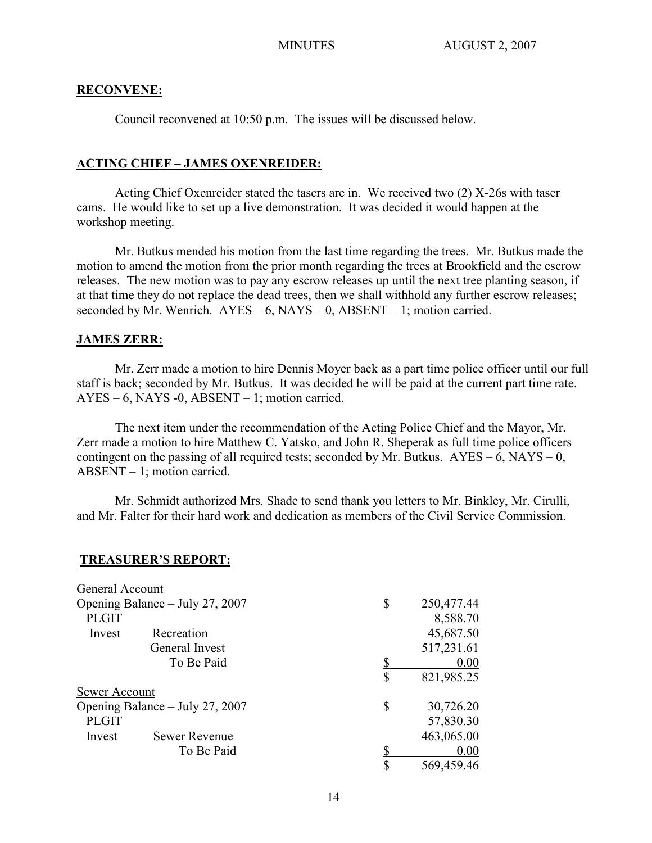## **RECONVENE:**

Council reconvened at 10:50 p.m. The issues will be discussed below.

# **ACTING CHIEF – JAMES OXENREIDER:**

Acting Chief Oxenreider stated the tasers are in. We received two (2) X-26s with taser cams. He would like to set up a live demonstration. It was decided it would happen at the workshop meeting.

Mr. Butkus mended his motion from the last time regarding the trees. Mr. Butkus made the motion to amend the motion from the prior month regarding the trees at Brookfield and the escrow releases. The new motion was to pay any escrow releases up until the next tree planting season, if at that time they do not replace the dead trees, then we shall withhold any further escrow releases; seconded by Mr. Wenrich.  $AYES - 6$ ,  $NAYS - 0$ ,  $ABSENT - 1$ ; motion carried.

## **JAMES ZERR:**

Mr. Zerr made a motion to hire Dennis Moyer back as a part time police officer until our full staff is back; seconded by Mr. Butkus. It was decided he will be paid at the current part time rate.  $AYES - 6$ , NAYS -0, ABSENT – 1; motion carried.

The next item under the recommendation of the Acting Police Chief and the Mayor, Mr. Zerr made a motion to hire Matthew C. Yatsko, and John R. Sheperak as full time police officers contingent on the passing of all required tests; seconded by Mr. Butkus.  $AYES - 6$ ,  $NAYS - 0$ , ABSENT – 1; motion carried.

Mr. Schmidt authorized Mrs. Shade to send thank you letters to Mr. Binkley, Mr. Cirulli, and Mr. Falter for their hard work and dedication as members of the Civil Service Commission.

#### **TREASURER'S REPORT:**

| General Account                 |                      |                  |
|---------------------------------|----------------------|------------------|
| Opening Balance – July 27, 2007 |                      | \$<br>250,477.44 |
| <b>PLGIT</b>                    |                      | 8,588.70         |
| Invest                          | Recreation           | 45,687.50        |
|                                 | General Invest       | 517,231.61       |
|                                 | To Be Paid           | 0.00             |
|                                 |                      | \$<br>821,985.25 |
| Sewer Account                   |                      |                  |
| Opening Balance – July 27, 2007 |                      | \$<br>30,726.20  |
| <b>PLGIT</b>                    |                      | 57,830.30        |
| Invest                          | <b>Sewer Revenue</b> | 463,065.00       |
|                                 | To Be Paid           | 0.00             |
|                                 |                      | \$<br>569,459.46 |